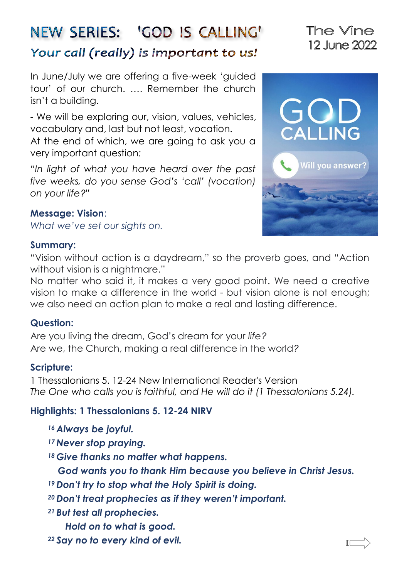# NEW SERIES: 'GOD IS CALLING' Your call (really) is important to us!

In June/July we are offering a five-week 'guided tour' of our church. …. Remember the church isn't a building.

- We will be exploring our, vision, values, vehicles, vocabulary and, last but not least, vocation.

At the end of which, we are going to ask you a very important question*:* 

*"In light of what you have heard over the past five weeks, do you sense God's 'call' (vocation) on your life?"*

#### **Message: Vision**:

*What we've set our sights on.*

#### **Summary:**

"Vision without action is a daydream," so the proverb goes, and "Action without vision is a nightmare."

No matter who said it, it makes a very good point. We need a creative vision to make a difference in the world - but vision alone is not enough; we also need an action plan to make a real and lasting difference.

#### **Question:**

Are you living the dream, God's dream for your *life?*  Are we, the Church, making a real difference in the world*?*

#### **Scripture:**

1 Thessalonians 5. 12-24 New International Reader's Version *The One who calls you is faithful, and He will do it (1 Thessalonians 5.24).*

#### **Highlights: 1 Thessalonians 5. 12-24 NIRV**

- *<sup>16</sup> Always be joyful.*
- *<sup>17</sup> Never stop praying.*
- *<sup>18</sup> Give thanks no matter what happens.*

 *God wants you to thank Him because you believe in Christ Jesus.* 

- *<sup>19</sup> Don't try to stop what the Holy Spirit is doing.*
- *<sup>20</sup> Don't treat prophecies as if they weren't important.*
- *<sup>21</sup> But test all prophecies.* 
	- *Hold on to what is good.*
- *<sup>22</sup> Say no to every kind of evil.*



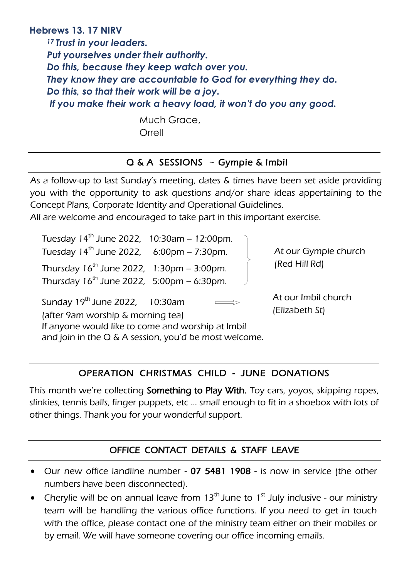#### **Hebrews 13. 17 NIRV**

*<sup>17</sup> Trust in your leaders. Put yourselves under their authority. Do this, because they keep watch over you. They know they are accountable to God for everything they do. Do this, so that their work will be a joy. If you make their work a heavy load, it won't do you any good.*

> Much Grace, Orrell

#### Q & A SESSIONS ~ Gympie & Imbil

As a follow-up to last Sunday's meeting, dates & times have been set aside providing you with the opportunity to ask questions and/or share ideas appertaining to the Concept Plans, Corporate Identity and Operational Guidelines.

All are welcome and encouraged to take part in this important exercise.

| Tuesday 14 <sup>th</sup> June 2022, 10:30am - 12:00pm.                             |                     |  |
|------------------------------------------------------------------------------------|---------------------|--|
| Tuesday $14^{th}$ June 2022, 6:00pm - 7:30pm.<br>At our Gympie church              |                     |  |
| (Red Hill Rd)<br>Thursday $16^{th}$ June 2022, $1:30 \text{pm} - 3:00 \text{pm}$ . |                     |  |
| Thursday $16^{th}$ June 2022, 5:00pm – 6:30pm.                                     |                     |  |
| Sunday 19 <sup>th</sup> June 2022, 10:30am                                         | At our Imbil church |  |

 (after 9am worship & morning tea) If anyone would like to come and worship at Imbil and join in the  $Q \& A$  session, you'd be most welcome. (Elizabeth St)

## OPERATION CHRISTMAS CHILD - JUNE DONATIONS

This month we're collecting Something to Play With. Toy cars, yoyos, skipping ropes, slinkies, tennis balls, finger puppets, etc … small enough to fit in a shoebox with lots of other things. Thank you for your wonderful support.

#### OFFICE CONTACT DETAILS & STAFF LEAVE

- Our new office landline number 07 5481 1908 is now in service (the other numbers have been disconnected).
- Cherylie will be on annual leave from  $13<sup>th</sup>$  June to  $1<sup>st</sup>$  July inclusive our ministry team will be handling the various office functions. If you need to get in touch with the office, please contact one of the ministry team either on their mobiles or by email. We will have someone covering our office incoming emails.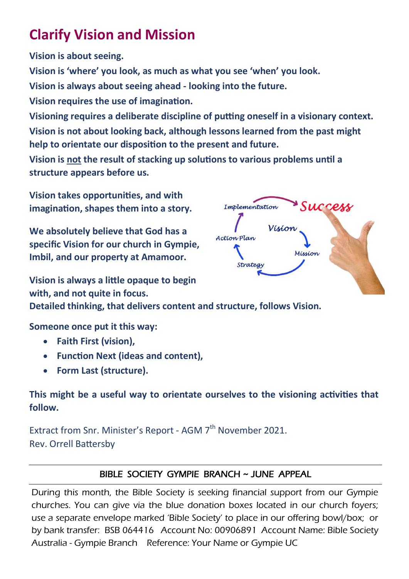## **Clarify Vision and Mission**

**Vision is about seeing.** 

**Vision is 'where' you look, as much as what you see 'when' you look.** 

**Vision is always about seeing ahead - looking into the future.** 

**Vision requires the use of imagination.** 

**Visioning requires a deliberate discipline of putting oneself in a visionary context. Vision is not about looking back, although lessons learned from the past might help to orientate our disposition to the present and future.** 

**Vision is not the result of stacking up solutions to various problems until a structure appears before us.** 

**Vision takes opportunities, and with imagination, shapes them into a story.** 

**We absolutely believe that God has a specific Vision for our church in Gympie, Imbil, and our property at Amamoor.**

**Vision is always a little opaque to begin with, and not quite in focus. Detailed thinking, that delivers content and structure, follows Vision.** 

Success Implementation Visio Action Plan Mission Strateg

**Someone once put it this way:** 

- **Faith First (vision),**
- **Function Next (ideas and content),**
- **Form Last (structure).**

## **This might be a useful way to orientate ourselves to the visioning activities that follow.**

Extract from Snr. Minister's Report - AGM 7<sup>th</sup> November 2021. Rev. Orrell Battersby

#### BIBLE SOCIETY GYMPIE BRANCH ~ JUNE APPEAL

During this month, the Bible Society is seeking financial support from our Gympie churches. You can give via the blue donation boxes located in our church foyers; use a separate envelope marked 'Bible Society' to place in our offering bowl/box; or by bank transfer: BSB 064416 Account No: 00906891 Account Name: Bible Society Australia - Gympie Branch Reference: Your Name or Gympie UC